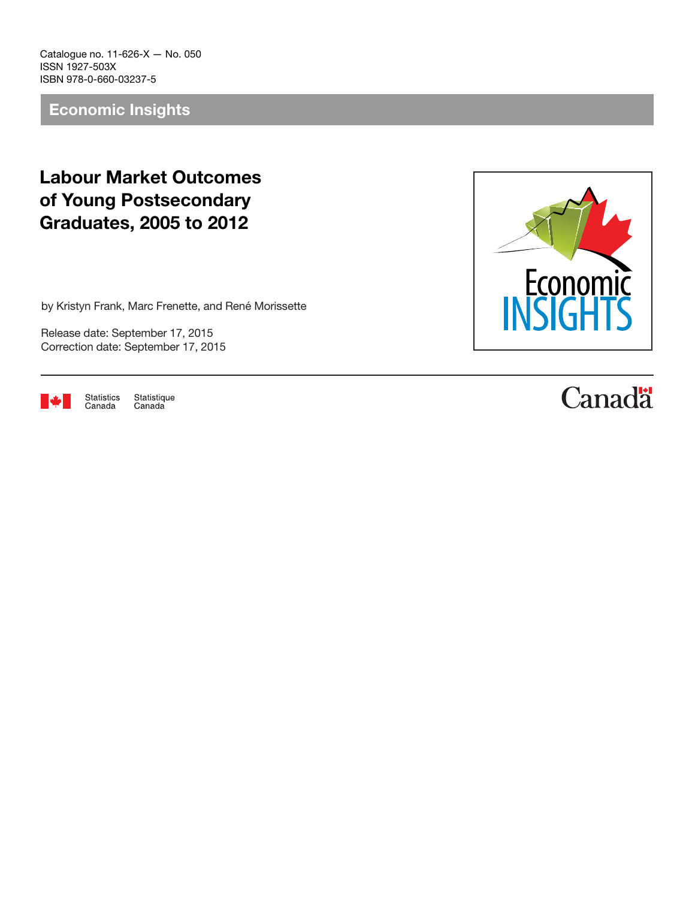Catalogue no. 11-626-X — No. 050 ISSN 1927-503X ISBN 978-0-660-03237-5

Economic Insights

## Labour Market Outcomes of Young Postsecondary Graduates, 2005 to 2012

by Kristyn Frank, Marc Frenette, and René Morissette

Release date: September 17, 2015 Correction date: September 17, 2015



Statistique Statistics Canada Canada



# **Canadä**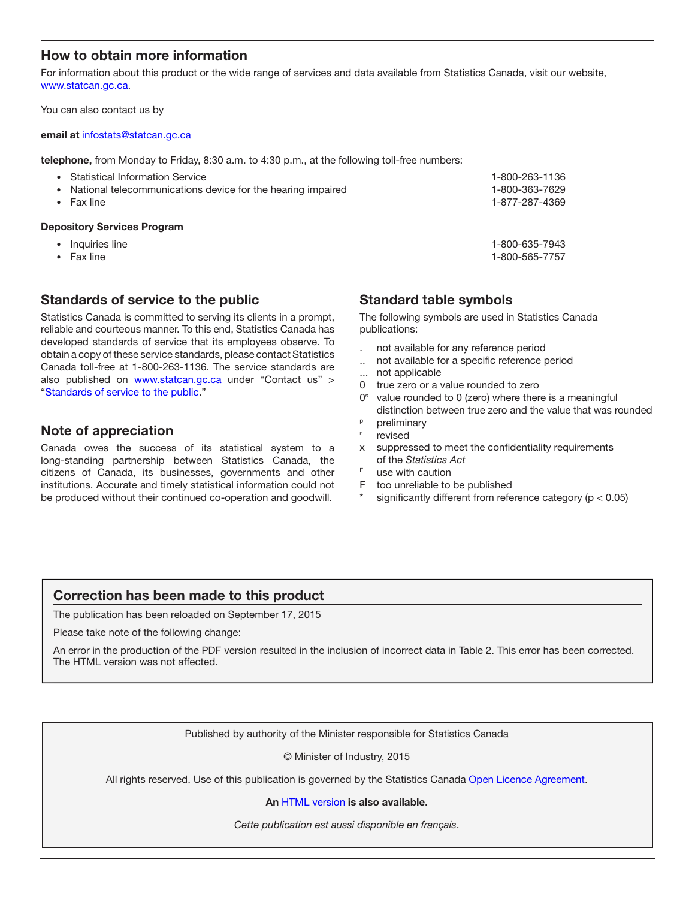## How to obtain more information

For information about this product or the wide range of services and data available from Statistics Canada, visit our website, [www.statcan.gc.ca.](http://www.statcan.gc.ca)

You can also contact us by

#### email at [infostats@statcan.gc.ca](mailto:infostats%40statcan.gc.ca?subject=)

telephone, from Monday to Friday, 8:30 a.m. to 4:30 p.m., at the following toll-free numbers:

| <b>Depository Services Program</b>                                                   |                                  |
|--------------------------------------------------------------------------------------|----------------------------------|
| National telecommunications device for the hearing impaired<br>$\bullet$<br>Fax line | 1-800-363-7629<br>1-877-287-4369 |
| • Statistical Information Service                                                    | 1-800-263-1136                   |

- 
- Inquiries line 1-800-635-7943
- Fax line 1-800-565-7757

## Standards of service to the public

Statistics Canada is committed to serving its clients in a prompt, reliable and courteous manner. To this end, Statistics Canada has developed standards of service that its employees observe. To obtain a copy of these service standards, please contact Statistics Canada toll-free at 1-800-263-1136. The service standards are also published on www.statcan.gc.ca under "Contact us" > "[Standards of service to the public](http://www.statcan.gc.ca/eng/about/service/standards)."

## Note of appreciation

Canada owes the success of its statistical system to a long-standing partnership between Statistics Canada, the citizens of Canada, its businesses, governments and other institutions. Accurate and timely statistical information could not be produced without their continued co-operation and goodwill.

## Standard table symbols

The following symbols are used in Statistics Canada publications:

- . not available for any reference period
- .. not available for a specific reference period
- ... not applicable
- 0 true zero or a value rounded to zero
- $0<sup>s</sup>$  value rounded to 0 (zero) where there is a meaningful distinction between true zero and the value that was rounded
- <sup>p</sup> preliminary
- revised
- x suppressed to meet the confidentiality requirements of the *Statistics Act*
- $E$  use with caution
- F too unreliable to be published
- significantly different from reference category ( $p < 0.05$ )

## Correction has been made to this product

The publication has been reloaded on September 17, 2015

Please take note of the following change:

An error in the production of the PDF version resulted in the inclusion of incorrect data in Table 2. This error has been corrected. The HTML version was not affected.

Published by authority of the Minister responsible for Statistics Canada

© Minister of Industry, 2015

All rights reserved. Use of this publication is governed by the Statistics Canada [Open Licence Agreement](http://www.statcan.gc.ca/eng/reference/licence-eng.htm).

#### An [HTML version](http://www.statcan.gc.ca/pub/11-626-x/11-626-x2015050-eng.htm) is also available.

*Cette publication est aussi disponible en français*.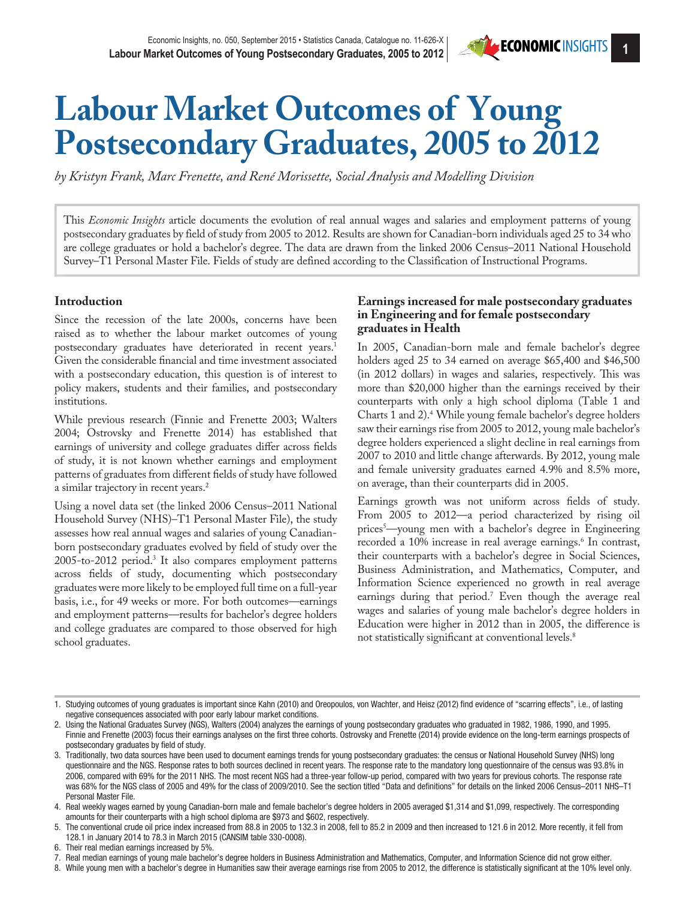# **Labour Market Outcomes of Young Postsecondary Graduates, 2005 to 2012**

*by Kristyn Frank, Marc Frenette, and René Morissette, Social Analysis and Modelling Division* 

This *Economic Insights* article documents the evolution of real annual wages and salaries and employment patterns of young postsecondary graduates by field of study from 2005 to 2012. Results are shown for Canadian-born individuals aged 25 to 34 who are college graduates or hold a bachelor's degree. The data are drawn from the linked 2006 Census–2011 National Household Survey–T1 Personal Master File. Fields of study are defined according to the Classification of Instructional Programs.

## **Introduction**

Since the recession of the late 2000s, concerns have been raised as to whether the labour market outcomes of young postsecondary graduates have deteriorated in recent years.1 Given the considerable financial and time investment associated with a postsecondary education, this question is of interest to policy makers, students and their families, and postsecondary institutions.

While previous research (Finnie and Frenette 2003; Walters 2004; Ostrovsky and Frenette 2014) has established that earnings of university and college graduates differ across fields of study, it is not known whether earnings and employment patterns of graduates from different fields of study have followed a similar trajectory in recent years.<sup>2</sup>

Using a novel data set (the linked 2006 Census–2011 National Household Survey (NHS)–T1 Personal Master File), the study assesses how real annual wages and salaries of young Canadianborn postsecondary graduates evolved by field of study over the 2005-to-2012 period.3 It also compares employment patterns across fields of study, documenting which postsecondary graduates were more likely to be employed full time on a full-year basis, i.e., for 49 weeks or more. For both outcomes—earnings and employment patterns—results for bachelor's degree holders and college graduates are compared to those observed for high school graduates.

### **Earnings increased for male postsecondary graduates in Engineering and for female postsecondary graduates in Health**

In 2005, Canadian-born male and female bachelor's degree holders aged 25 to 34 earned on average \$65,400 and \$46,500 (in 2012 dollars) in wages and salaries, respectively. This was more than \$20,000 higher than the earnings received by their counterparts with only a high school diploma (Table 1 and Charts 1 and 2).4 While young female bachelor's degree holders saw their earnings rise from 2005 to 2012, young male bachelor's degree holders experienced a slight decline in real earnings from 2007 to 2010 and little change afterwards. By 2012, young male and female university graduates earned 4.9% and 8.5% more, on average, than their counterparts did in 2005.

Earnings growth was not uniform across fields of study. From 2005 to 2012—a period characterized by rising oil prices5 —young men with a bachelor's degree in Engineering recorded a 10% increase in real average earnings.<sup>6</sup> In contrast, their counterparts with a bachelor's degree in Social Sciences, Business Administration, and Mathematics, Computer, and Information Science experienced no growth in real average earnings during that period.7 Even though the average real wages and salaries of young male bachelor's degree holders in Education were higher in 2012 than in 2005, the difference is not statistically significant at conventional levels.8

6. Their real median earnings increased by 5%.

8. While young men with a bachelor's degree in Humanities saw their average earnings rise from 2005 to 2012, the difference is statistically significant at the 10% level only.

<sup>1.</sup> Studying outcomes of young graduates is important since Kahn (2010) and Oreopoulos, von Wachter, and Heisz (2012) find evidence of "scarring effects", i.e., of lasting negative consequences associated with poor early labour market conditions.

<sup>2.</sup> Using the National Graduates Survey (NGS), Walters (2004) analyzes the earnings of young postsecondary graduates who graduated in 1982, 1986, 1990, and 1995. Finnie and Frenette (2003) focus their earnings analyses on the first three cohorts. Ostrovsky and Frenette (2014) provide evidence on the long-term earnings prospects of postsecondary graduates by field of study.

<sup>3.</sup> Traditionally, two data sources have been used to document earnings trends for young postsecondary graduates: the census or National Household Survey (NHS) long questionnaire and the NGS. Response rates to both sources declined in recent years. The response rate to the mandatory long questionnaire of the census was 93.8% in 2006, compared with 69% for the 2011 NHS. The most recent NGS had a three-year follow-up period, compared with two years for previous cohorts. The response rate was 68% for the NGS class of 2005 and 49% for the class of 2009/2010. See the section titled "Data and definitions" for details on the linked 2006 Census–2011 NHS–T1 Personal Master File.

<sup>4.</sup> Real weekly wages earned by young Canadian-born male and female bachelor's degree holders in 2005 averaged \$1,314 and \$1,099, respectively. The corresponding amounts for their counterparts with a high school diploma are \$973 and \$602, respectively.

<sup>5.</sup> The conventional crude oil price index increased from 88.8 in 2005 to 132.3 in 2008, fell to 85.2 in 2009 and then increased to 121.6 in 2012. More recently, it fell from 128.1 in January 2014 to 78.3 in March 2015 (CANSIM table 330-0008).

<sup>7.</sup> Real median earnings of young male bachelor's degree holders in Business Administration and Mathematics, Computer, and Information Science did not grow either.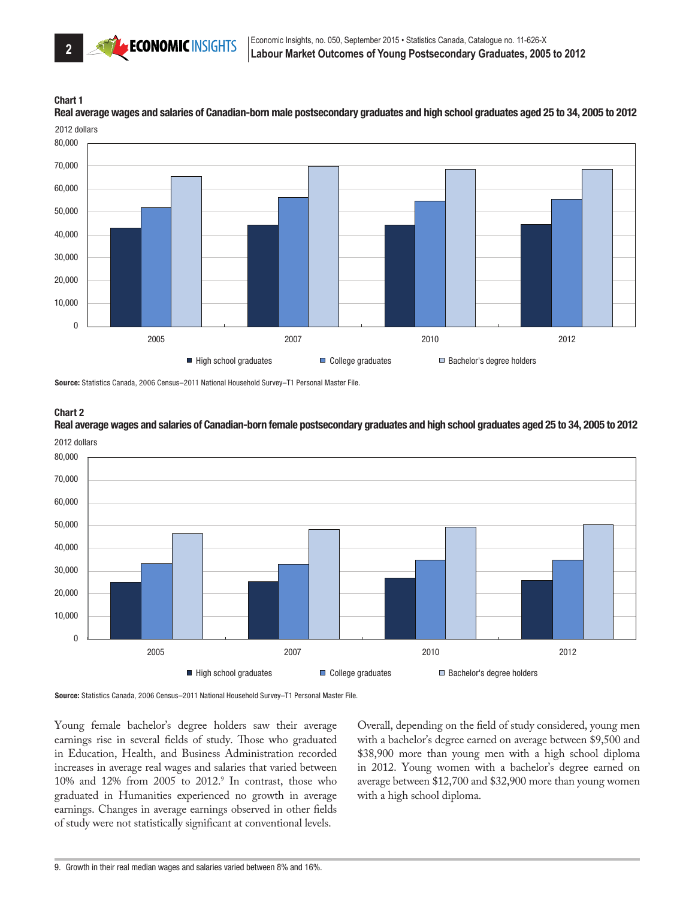## Chart 1

2012 dollars Real average wages and salaries of Canadian-born male postsecondary graduates and high school graduates aged 25 to 34, 2005 to 2012



Source: Statistics Canada, 2006 Census–2011 National Household Survey–T1 Personal Master File.

Chart 2

0 10,000 20,000 30,000 40,000 50,000 60,000 70,000 80,000 2005 2007 2010 2012 2012 dollars ■ High school graduates ■ College graduates Bachelor's degree holders

Real average wages and salaries of Canadian-born female postsecondary graduates and high school graduates aged 25 to 34, 2005 to 2012

Source: Statistics Canada, 2006 Census–2011 National Household Survey–T1 Personal Master File.

Young female bachelor's degree holders saw their average earnings rise in several fields of study. Those who graduated in Education, Health, and Business Administration recorded increases in average real wages and salaries that varied between  $10\%$  and  $12\%$  from  $2005$  to  $2012.^9$  In contrast, those who graduated in Humanities experienced no growth in average earnings. Changes in average earnings observed in other fields of study were not statistically significant at conventional levels.

Overall, depending on the field of study considered, young men with a bachelor's degree earned on average between \$9,500 and \$38,900 more than young men with a high school diploma in 2012. Young women with a bachelor's degree earned on average between \$12,700 and \$32,900 more than young women with a high school diploma.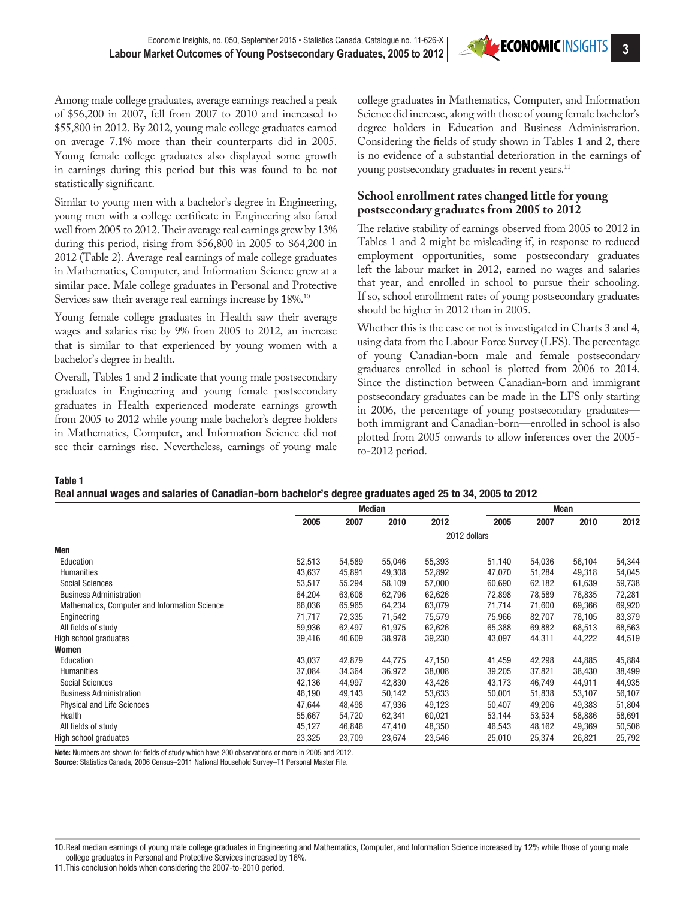

Among male college graduates, average earnings reached a peak of \$56,200 in 2007, fell from 2007 to 2010 and increased to \$55,800 in 2012. By 2012, young male college graduates earned on average 7.1% more than their counterparts did in 2005. Young female college graduates also displayed some growth in earnings during this period but this was found to be not statistically significant.

Similar to young men with a bachelor's degree in Engineering, young men with a college certificate in Engineering also fared well from 2005 to 2012. Their average real earnings grew by 13% during this period, rising from \$56,800 in 2005 to \$64,200 in 2012 (Table 2). Average real earnings of male college graduates in Mathematics, Computer, and Information Science grew at a similar pace. Male college graduates in Personal and Protective Services saw their average real earnings increase by 18%.<sup>10</sup>

Young female college graduates in Health saw their average wages and salaries rise by 9% from 2005 to 2012, an increase that is similar to that experienced by young women with a bachelor's degree in health.

Overall, Tables 1 and 2 indicate that young male postsecondary graduates in Engineering and young female postsecondary graduates in Health experienced moderate earnings growth from 2005 to 2012 while young male bachelor's degree holders in Mathematics, Computer, and Information Science did not see their earnings rise. Nevertheless, earnings of young male

college graduates in Mathematics, Computer, and Information Science did increase, along with those of young female bachelor's degree holders in Education and Business Administration. Considering the fields of study shown in Tables 1 and 2, there is no evidence of a substantial deterioration in the earnings of young postsecondary graduates in recent years.<sup>11</sup>

## **School enrollment rates changed little for young postsecondary graduates from 2005 to 2012**

The relative stability of earnings observed from 2005 to 2012 in Tables 1 and 2 might be misleading if, in response to reduced employment opportunities, some postsecondary graduates left the labour market in 2012, earned no wages and salaries that year, and enrolled in school to pursue their schooling. If so, school enrollment rates of young postsecondary graduates should be higher in 2012 than in 2005.

Whether this is the case or not is investigated in Charts 3 and 4, using data from the Labour Force Survey (LFS). The percentage of young Canadian-born male and female postsecondary graduates enrolled in school is plotted from 2006 to 2014. Since the distinction between Canadian-born and immigrant postsecondary graduates can be made in the LFS only starting in 2006, the percentage of young postsecondary graduates both immigrant and Canadian-born—enrolled in school is also plotted from 2005 onwards to allow inferences over the 2005 to-2012 period.

Table 1

|  | Real annual wages and salaries of Canadian-born bachelor's degree graduates aged 25 to 34, 2005 to 2012 |  |  |  |
|--|---------------------------------------------------------------------------------------------------------|--|--|--|
|  |                                                                                                         |  |  |  |

|                                               | Median |        |        |        | Mean         |        |        |        |
|-----------------------------------------------|--------|--------|--------|--------|--------------|--------|--------|--------|
|                                               | 2005   | 2007   | 2010   | 2012   | 2005         | 2007   | 2010   | 2012   |
|                                               |        |        |        |        | 2012 dollars |        |        |        |
| Men                                           |        |        |        |        |              |        |        |        |
| Education                                     | 52,513 | 54,589 | 55,046 | 55,393 | 51,140       | 54,036 | 56,104 | 54,344 |
| Humanities                                    | 43,637 | 45,891 | 49,308 | 52,892 | 47,070       | 51,284 | 49,318 | 54,045 |
| <b>Social Sciences</b>                        | 53,517 | 55,294 | 58,109 | 57,000 | 60,690       | 62,182 | 61,639 | 59,738 |
| <b>Business Administration</b>                | 64,204 | 63,608 | 62,796 | 62,626 | 72,898       | 78,589 | 76,835 | 72,281 |
| Mathematics, Computer and Information Science | 66,036 | 65,965 | 64,234 | 63,079 | 71,714       | 71,600 | 69,366 | 69,920 |
| Engineering                                   | 71,717 | 72,335 | 71,542 | 75,579 | 75,966       | 82,707 | 78,105 | 83,379 |
| All fields of study                           | 59,936 | 62,497 | 61,975 | 62,626 | 65,388       | 69,882 | 68,513 | 68,563 |
| High school graduates                         | 39,416 | 40,609 | 38,978 | 39,230 | 43,097       | 44,311 | 44,222 | 44,519 |
| Women                                         |        |        |        |        |              |        |        |        |
| Education                                     | 43,037 | 42,879 | 44,775 | 47,150 | 41,459       | 42,298 | 44,885 | 45,884 |
| Humanities                                    | 37,084 | 34,364 | 36,972 | 38,008 | 39,205       | 37,821 | 38,430 | 38,499 |
| <b>Social Sciences</b>                        | 42,136 | 44,997 | 42,830 | 43,426 | 43,173       | 46,749 | 44,911 | 44,935 |
| <b>Business Administration</b>                | 46,190 | 49,143 | 50,142 | 53,633 | 50,001       | 51,838 | 53,107 | 56,107 |
| <b>Physical and Life Sciences</b>             | 47,644 | 48,498 | 47,936 | 49,123 | 50,407       | 49,206 | 49,383 | 51,804 |
| Health                                        | 55,667 | 54,720 | 62,341 | 60,021 | 53,144       | 53,534 | 58,886 | 58,691 |
| All fields of study                           | 45,127 | 46,846 | 47,410 | 48,350 | 46,543       | 48,162 | 49,369 | 50,506 |
| High school graduates                         | 23,325 | 23,709 | 23,674 | 23,546 | 25,010       | 25,374 | 26,821 | 25,792 |

Note: Numbers are shown for fields of study which have 200 observations or more in 2005 and 2012.

Source: Statistics Canada, 2006 Census–2011 National Household Survey–T1 Personal Master File.

10.Real median earnings of young male college graduates in Engineering and Mathematics, Computer, and Information Science increased by 12% while those of young male college graduates in Personal and Protective Services increased by 16%.

11.This conclusion holds when considering the 2007-to-2010 period.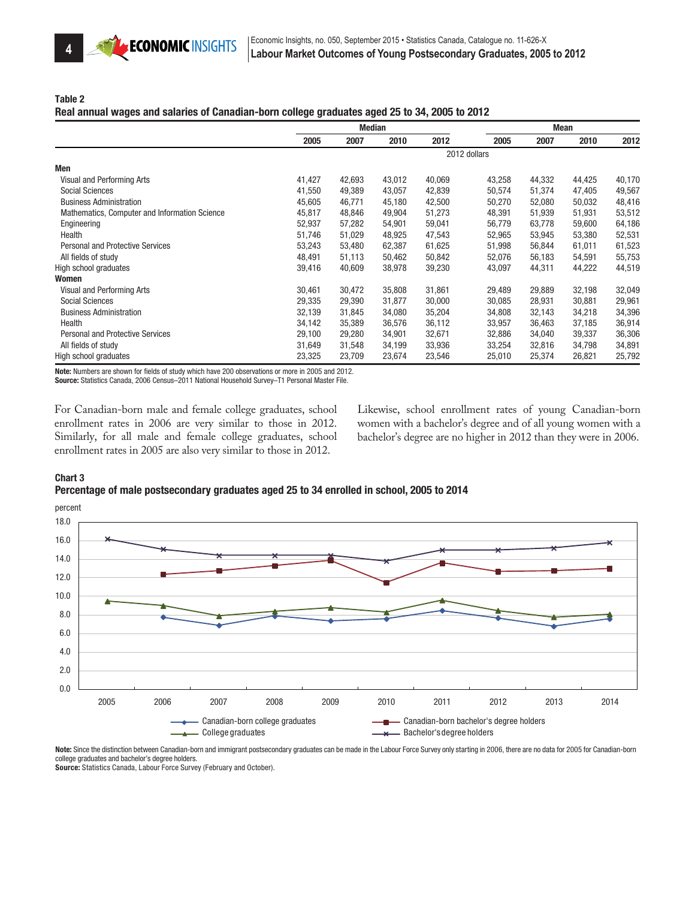

Table 2

#### Real annual wages and salaries of Canadian-born college graduates aged 25 to 34, 2005 to 2012

|                                               | <b>Median</b> |        |        | <b>Mean</b> |              |        |        |        |
|-----------------------------------------------|---------------|--------|--------|-------------|--------------|--------|--------|--------|
|                                               | 2005          | 2007   | 2010   | 2012        | 2005         | 2007   | 2010   | 2012   |
|                                               |               |        |        |             | 2012 dollars |        |        |        |
| Men                                           |               |        |        |             |              |        |        |        |
| Visual and Performing Arts                    | 41,427        | 42,693 | 43,012 | 40,069      | 43,258       | 44,332 | 44,425 | 40,170 |
| <b>Social Sciences</b>                        | 41,550        | 49,389 | 43,057 | 42,839      | 50,574       | 51,374 | 47,405 | 49,567 |
| <b>Business Administration</b>                | 45,605        | 46,771 | 45,180 | 42,500      | 50,270       | 52,080 | 50,032 | 48,416 |
| Mathematics, Computer and Information Science | 45,817        | 48,846 | 49,904 | 51,273      | 48,391       | 51,939 | 51,931 | 53,512 |
| Engineering                                   | 52,937        | 57,282 | 54,901 | 59,041      | 56,779       | 63,778 | 59,600 | 64,186 |
| Health                                        | 51,746        | 51,029 | 48,925 | 47,543      | 52,965       | 53,945 | 53,380 | 52,531 |
| <b>Personal and Protective Services</b>       | 53,243        | 53,480 | 62,387 | 61,625      | 51,998       | 56,844 | 61,011 | 61,523 |
| All fields of study                           | 48,491        | 51,113 | 50,462 | 50,842      | 52,076       | 56,183 | 54,591 | 55,753 |
| High school graduates                         | 39,416        | 40,609 | 38,978 | 39,230      | 43,097       | 44,311 | 44,222 | 44,519 |
| Women                                         |               |        |        |             |              |        |        |        |
| Visual and Performing Arts                    | 30,461        | 30,472 | 35,808 | 31,861      | 29,489       | 29,889 | 32,198 | 32,049 |
| <b>Social Sciences</b>                        | 29,335        | 29,390 | 31,877 | 30,000      | 30,085       | 28,931 | 30,881 | 29,961 |
| <b>Business Administration</b>                | 32,139        | 31,845 | 34,080 | 35,204      | 34,808       | 32,143 | 34,218 | 34,396 |
| Health                                        | 34,142        | 35,389 | 36,576 | 36,112      | 33,957       | 36,463 | 37,185 | 36,914 |
| <b>Personal and Protective Services</b>       | 29,100        | 29,280 | 34,901 | 32,671      | 32,886       | 34,040 | 39,337 | 36,306 |
| All fields of study                           | 31,649        | 31,548 | 34,199 | 33,936      | 33,254       | 32,816 | 34,798 | 34,891 |
| High school graduates                         | 23,325        | 23,709 | 23,674 | 23,546      | 25,010       | 25,374 | 26,821 | 25,792 |

Note: Numbers are shown for fields of study which have 200 observations or more in 2005 and 2012.

Source: Statistics Canada, 2006 Census–2011 National Household Survey–T1 Personal Master File.

For Canadian-born male and female college graduates, school enrollment rates in 2006 are very similar to those in 2012. Similarly, for all male and female college graduates, school enrollment rates in 2005 are also very similar to those in 2012.

Likewise, school enrollment rates of young Canadian-born women with a bachelor's degree and of all young women with a bachelor's degree are no higher in 2012 than they were in 2006.

#### Chart 3

#### Percentage of male postsecondary graduates aged 25 to 34 enrolled in school, 2005 to 2014



Note: Since the distinction between Canadian-born and immigrant postsecondary graduates can be made in the Labour Force Survey only starting in 2006, there are no data for 2005 for Canadian-born college graduates and bachelor's degree holders.

Source: Statistics Canada, Labour Force Survey (February and October).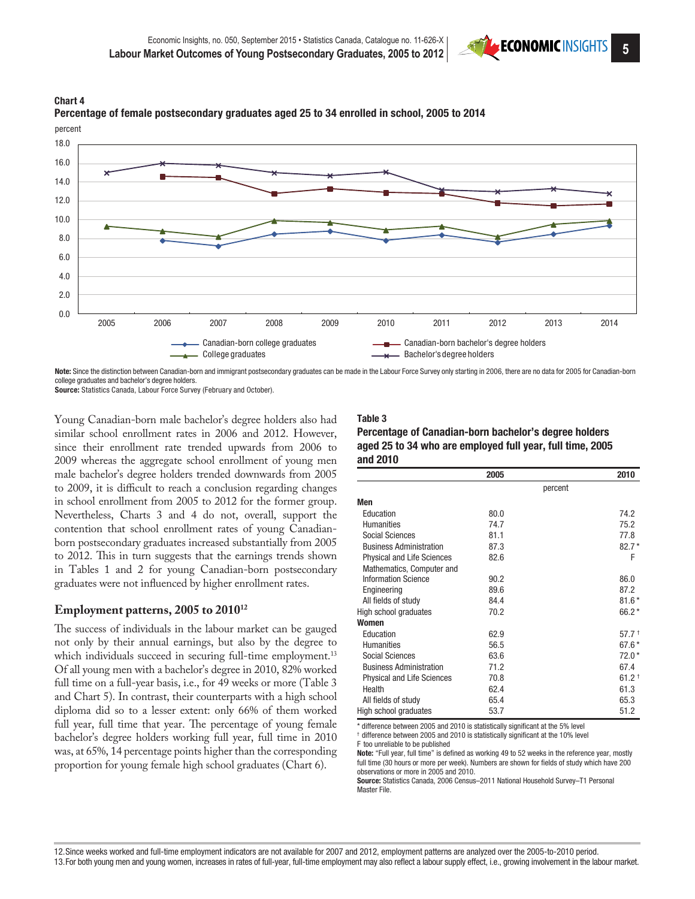





Note: Since the distinction between Canadian-born and immigrant postsecondary graduates can be made in the Labour Force Survey only starting in 2006, there are no data for 2005 for Canadian-born college graduates and bachelor's degree holders. Source: Statistics Canada, Labour Force Survey (February and October).

Young Canadian-born male bachelor's degree holders also had similar school enrollment rates in 2006 and 2012. However, since their enrollment rate trended upwards from 2006 to 2009 whereas the aggregate school enrollment of young men male bachelor's degree holders trended downwards from 2005

to 2009, it is difficult to reach a conclusion regarding changes in school enrollment from 2005 to 2012 for the former group. Nevertheless, Charts 3 and 4 do not, overall, support the contention that school enrollment rates of young Canadianborn postsecondary graduates increased substantially from 2005 to 2012. This in turn suggests that the earnings trends shown in Tables 1 and 2 for young Canadian-born postsecondary graduates were not influenced by higher enrollment rates.

#### **Employment patterns, 2005 to 201012**

The success of individuals in the labour market can be gauged not only by their annual earnings, but also by the degree to which individuals succeed in securing full-time employment.<sup>13</sup> Of all young men with a bachelor's degree in 2010, 82% worked full time on a full-year basis, i.e., for 49 weeks or more (Table 3 and Chart 5). In contrast, their counterparts with a high school diploma did so to a lesser extent: only 66% of them worked full year, full time that year. The percentage of young female bachelor's degree holders working full year, full time in 2010 was, at 65%, 14 percentage points higher than the corresponding proportion for young female high school graduates (Chart 6).

## Table 3

| Percentage of Canadian-born bachelor's degree holders     |
|-----------------------------------------------------------|
| aged 25 to 34 who are employed full year, full time, 2005 |
| and 2010                                                  |

|                                   | 2005 |         | 2010                |
|-----------------------------------|------|---------|---------------------|
|                                   |      | percent |                     |
| Men                               |      |         |                     |
| Education                         | 80.0 |         | 74.2                |
| <b>Humanities</b>                 | 74.7 |         | 75.2                |
| Social Sciences                   | 81.1 |         | 77.8                |
| <b>Business Administration</b>    | 87.3 |         | $82.7*$             |
| <b>Physical and Life Sciences</b> | 82.6 |         | F                   |
| Mathematics, Computer and         |      |         |                     |
| <b>Information Science</b>        | 90.2 |         | 86.0                |
| Engineering                       | 89.6 |         | 87.2                |
| All fields of study               | 84.4 |         | $81.6*$             |
| High school graduates             | 70.2 |         | 66.2*               |
| Women                             |      |         |                     |
| Education                         | 62.9 |         | $57.7^{+}$          |
| <b>Humanities</b>                 | 56.5 |         | $67.6*$             |
| Social Sciences                   | 63.6 |         | $72.0*$             |
| <b>Business Administration</b>    | 71.2 |         | 67.4                |
| <b>Physical and Life Sciences</b> | 70.8 |         | $61.2$ <sup>+</sup> |
| Health                            | 62.4 |         | 61.3                |
| All fields of study               | 65.4 |         | 65.3                |
| High school graduates             | 53.7 |         | 51.2                |

\* difference between 2005 and 2010 is statistically significant at the 5% level

† difference between 2005 and 2010 is statistically significant at the 10% level F too unreliable to be published

Note: "Full year, full time" is defined as working 49 to 52 weeks in the reference year, mostly full time (30 hours or more per week). Numbers are shown for fields of study which have 200 observations or more in 2005 and 2010.

Source: Statistics Canada, 2006 Census–2011 National Household Survey–T1 Personal Master File.

12.Since weeks worked and full-time employment indicators are not available for 2007 and 2012, employment patterns are analyzed over the 2005-to-2010 period. 13.For both young men and young women, increases in rates of full-year, full-time employment may also reflect a labour supply effect, i.e., growing involvement in the labour market.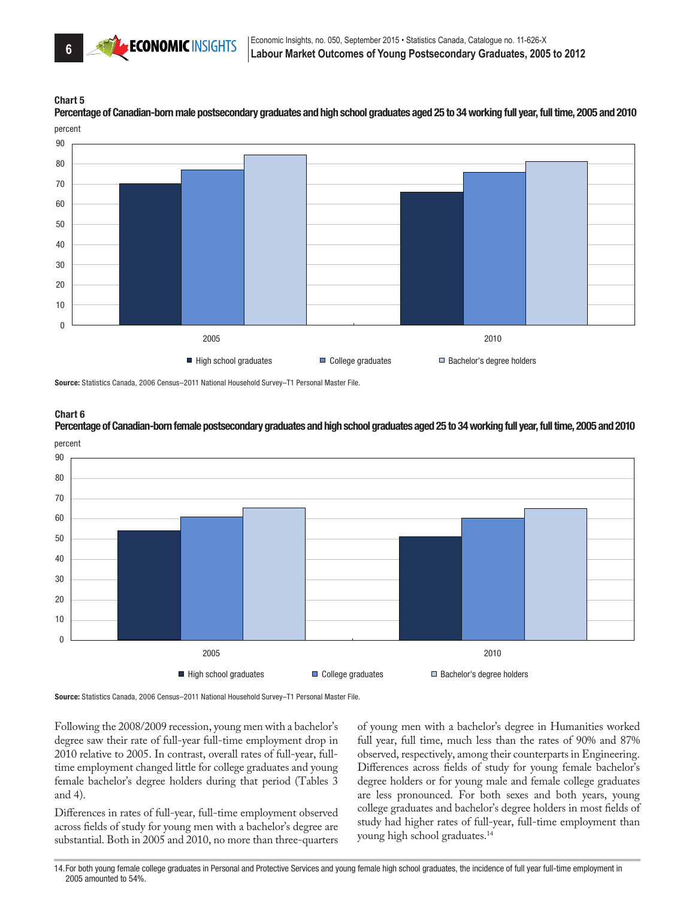

percent Percentage of Canadian-born male postsecondary graduates and high school graduates aged 25 to 34 working full year, full time, 2005 and 2010



Source: Statistics Canada, 2006 Census–2011 National Household Survey–T1 Personal Master File.



percent Percentage of Canadian-born female postsecondary graduates and high school graduates aged 25 to 34 working full year, full time, 2005 and 2010



Source: Statistics Canada, 2006 Census–2011 National Household Survey–T1 Personal Master File.

Following the 2008/2009 recession, young men with a bachelor's degree saw their rate of full-year full-time employment drop in 2010 relative to 2005. In contrast, overall rates of full-year, fulltime employment changed little for college graduates and young female bachelor's degree holders during that period (Tables 3 and 4).

Differences in rates of full-year, full-time employment observed across fields of study for young men with a bachelor's degree are substantial. Both in 2005 and 2010, no more than three-quarters

of young men with a bachelor's degree in Humanities worked full year, full time, much less than the rates of 90% and 87% observed, respectively, among their counterparts in Engineering. Differences across fields of study for young female bachelor's degree holders or for young male and female college graduates are less pronounced. For both sexes and both years, young college graduates and bachelor's degree holders in most fields of study had higher rates of full-year, full-time employment than young high school graduates.14

14.For both young female college graduates in Personal and Protective Services and young female high school graduates, the incidence of full year full-time employment in 2005 amounted to 54%.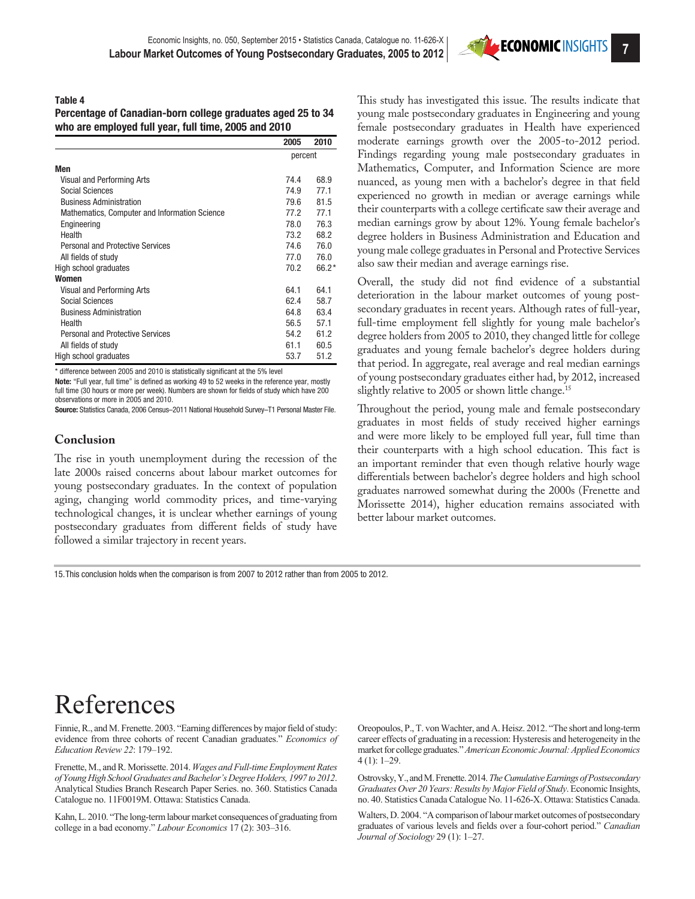

#### Table 4

Percentage of Canadian-born college graduates aged 25 to 34 who are employed full year, full time, 2005 and 2010

|                                               | 2005    | 2010    |
|-----------------------------------------------|---------|---------|
|                                               | percent |         |
| Men                                           |         |         |
| Visual and Performing Arts                    | 74.4    | 68.9    |
| Social Sciences                               | 74.9    | 77.1    |
| <b>Business Administration</b>                | 79.6    | 81.5    |
| Mathematics, Computer and Information Science | 77.2    | 77.1    |
| Engineering                                   | 78.0    | 76.3    |
| Health                                        | 73.2    | 68.2    |
| <b>Personal and Protective Services</b>       | 74.6    | 76.0    |
| All fields of study                           | 77.0    | 76.0    |
| High school graduates                         | 70.2    | $66.2*$ |
| Women                                         |         |         |
| Visual and Performing Arts                    | 64.1    | 64.1    |
| Social Sciences                               | 62.4    | 58.7    |
| <b>Business Administration</b>                | 64.8    | 63.4    |
| Health                                        | 56.5    | 57.1    |
| <b>Personal and Protective Services</b>       | 54.2    | 61.2    |
| All fields of study                           | 61.1    | 60.5    |
| High school graduates                         | 53.7    | 51.2    |

\* difference between 2005 and 2010 is statistically significant at the 5% level

Note: "Full year, full time" is defined as working 49 to 52 weeks in the reference year, mostly full time (30 hours or more per week). Numbers are shown for fields of study which have 200 observations or more in 2005 and 2010.

Source: Statistics Canada, 2006 Census–2011 National Household Survey–T1 Personal Master File.

#### **Conclusion**

The rise in youth unemployment during the recession of the late 2000s raised concerns about labour market outcomes for young postsecondary graduates. In the context of population aging, changing world commodity prices, and time-varying technological changes, it is unclear whether earnings of young postsecondary graduates from different fields of study have followed a similar trajectory in recent years.

This study has investigated this issue. The results indicate that young male postsecondary graduates in Engineering and young female postsecondary graduates in Health have experienced moderate earnings growth over the 2005-to-2012 period. Findings regarding young male postsecondary graduates in Mathematics, Computer, and Information Science are more nuanced, as young men with a bachelor's degree in that field experienced no growth in median or average earnings while their counterparts with a college certificate saw their average and median earnings grow by about 12%. Young female bachelor's degree holders in Business Administration and Education and young male college graduates in Personal and Protective Services also saw their median and average earnings rise.

Overall, the study did not find evidence of a substantial deterioration in the labour market outcomes of young postsecondary graduates in recent years. Although rates of full-year, full-time employment fell slightly for young male bachelor's degree holders from 2005 to 2010, they changed little for college graduates and young female bachelor's degree holders during that period. In aggregate, real average and real median earnings of young postsecondary graduates either had, by 2012, increased slightly relative to 2005 or shown little change.<sup>15</sup>

Throughout the period, young male and female postsecondary graduates in most fields of study received higher earnings and were more likely to be employed full year, full time than their counterparts with a high school education. This fact is an important reminder that even though relative hourly wage differentials between bachelor's degree holders and high school graduates narrowed somewhat during the 2000s (Frenette and Morissette 2014), higher education remains associated with better labour market outcomes.

15.This conclusion holds when the comparison is from 2007 to 2012 rather than from 2005 to 2012.

## References

Finnie, R., and M. Frenette. 2003. "Earning differences by major field of study: evidence from three cohorts of recent Canadian graduates." *Economics of Education Review 22*: 179–192.

Frenette, M., and R. Morissette. 2014. *Wages and Full-time Employment Rates of Young High School Graduates and Bachelor's Degree Holders, 1997 to 2012*. Analytical Studies Branch Research Paper Series. no. 360. Statistics Canada Catalogue no. 11F0019M. Ottawa: Statistics Canada.

Kahn, L. 2010. "The long-term labour market consequences of graduating from college in a bad economy." *Labour Economics* 17 (2): 303–316.

Oreopoulos, P., T. von Wachter, and A. Heisz. 2012. "The short and long-term career effects of graduating in a recession: Hysteresis and heterogeneity in the market for college graduates." *American Economic Journal: Applied Economics* 4 (1): 1–29.

Ostrovsky, Y., and M. Frenette. 2014. *The Cumulative Earnings of Postsecondary Graduates Over 20 Years: Results by Major Field of Study*. Economic Insights, no. 40. Statistics Canada Catalogue No. 11-626-X. Ottawa: Statistics Canada.

Walters, D. 2004. "A comparison of labour market outcomes of postsecondary graduates of various levels and fields over a four-cohort period." *Canadian Journal of Sociology* 29 (1): 1–27.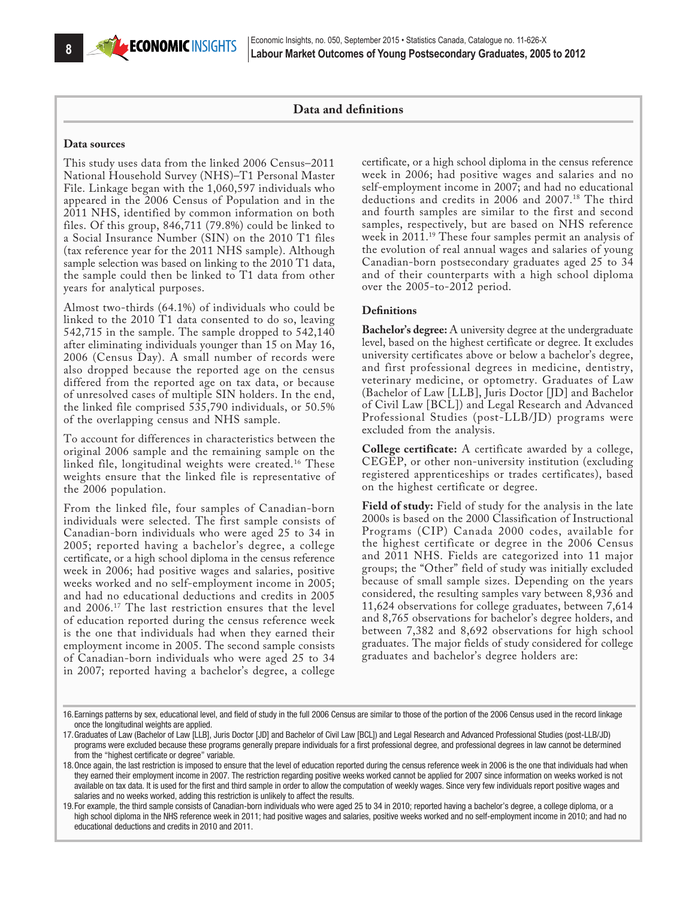## **Data and definitions**

#### **Data sources**

This study uses data from the linked 2006 Census–2011 National Household Survey (NHS)–T1 Personal Master File. Linkage began with the 1,060,597 individuals who appeared in the 2006 Census of Population and in the 2011 NHS, identified by common information on both files. Of this group, 846,711 (79.8%) could be linked to a Social Insurance Number (SIN) on the 2010 T1 files (tax reference year for the 2011 NHS sample). Although sample selection was based on linking to the 2010 T1 data, the sample could then be linked to T1 data from other years for analytical purposes.

Almost two-thirds (64.1%) of individuals who could be linked to the 2010 T1 data consented to do so, leaving 542,715 in the sample. The sample dropped to 542,140 after eliminating individuals younger than 15 on May 16, 2006 (Census Day). A small number of records were also dropped because the reported age on the census differed from the reported age on tax data, or because of unresolved cases of multiple SIN holders. In the end, the linked file comprised 535,790 individuals, or 50.5% of the overlapping census and NHS sample.

To account for differences in characteristics between the original 2006 sample and the remaining sample on the linked file, longitudinal weights were created.<sup>16</sup> These weights ensure that the linked file is representative of the 2006 population.

From the linked file, four samples of Canadian-born individuals were selected. The first sample consists of Canadian-born individuals who were aged 25 to 34 in 2005; reported having a bachelor's degree, a college certificate, or a high school diploma in the census reference week in 2006; had positive wages and salaries, positive weeks worked and no self-employment income in 2005; and had no educational deductions and credits in 2005 and 2006.17 The last restriction ensures that the level of education reported during the census reference week is the one that individuals had when they earned their employment income in 2005. The second sample consists of Canadian-born individuals who were aged 25 to 34 in 2007; reported having a bachelor's degree, a college

certificate, or a high school diploma in the census reference week in 2006; had positive wages and salaries and no self-employment income in 2007; and had no educational deductions and credits in 2006 and 2007.18 The third and fourth samples are similar to the first and second samples, respectively, but are based on NHS reference week in 2011.19 These four samples permit an analysis of the evolution of real annual wages and salaries of young Canadian-born postsecondary graduates aged 25 to 34 and of their counterparts with a high school diploma over the 2005-to-2012 period.

#### **Definitions**

**Bachelor's degree:** A university degree at the undergraduate level, based on the highest certificate or degree. It excludes university certificates above or below a bachelor's degree, and first professional degrees in medicine, dentistry, veterinary medicine, or optometry. Graduates of Law (Bachelor of Law [LLB], Juris Doctor [JD] and Bachelor of Civil Law [BCL]) and Legal Research and Advanced Professional Studies (post-LLB/JD) programs were excluded from the analysis.

**College certificate:** A certificate awarded by a college, CEGEP, or other non-university institution (excluding registered apprenticeships or trades certificates), based on the highest certificate or degree.

**Field of study:** Field of study for the analysis in the late 2000s is based on the 2000 Classification of Instructional Programs (CIP) Canada 2000 codes, available for the highest certificate or degree in the 2006 Census and 2011 NHS. Fields are categorized into 11 major groups; the "Other" field of study was initially excluded because of small sample sizes. Depending on the years considered, the resulting samples vary between 8,936 and 11,624 observations for college graduates, between 7,614 and 8,765 observations for bachelor's degree holders, and between 7,382 and 8,692 observations for high school graduates. The major fields of study considered for college graduates and bachelor's degree holders are:

<sup>16.</sup>Earnings patterns by sex, educational level, and field of study in the full 2006 Census are similar to those of the portion of the 2006 Census used in the record linkage once the longitudinal weights are applied.

<sup>17.</sup>Graduates of Law (Bachelor of Law [LLB], Juris Doctor [JD] and Bachelor of Civil Law [BCL]) and Legal Research and Advanced Professional Studies (post-LLB/JD) programs were excluded because these programs generally prepare individuals for a first professional degree, and professional degrees in law cannot be determined from the "highest certificate or degree" variable.

<sup>18.</sup>Once again, the last restriction is imposed to ensure that the level of education reported during the census reference week in 2006 is the one that individuals had when they earned their employment income in 2007. The restriction regarding positive weeks worked cannot be applied for 2007 since information on weeks worked is not available on tax data. It is used for the first and third sample in order to allow the computation of weekly wages. Since very few individuals report positive wages and salaries and no weeks worked, adding this restriction is unlikely to affect the results.

<sup>19.</sup>For example, the third sample consists of Canadian-born individuals who were aged 25 to 34 in 2010; reported having a bachelor's degree, a college diploma, or a high school diploma in the NHS reference week in 2011; had positive wages and salaries, positive weeks worked and no self-employment income in 2010; and had no educational deductions and credits in 2010 and 2011.